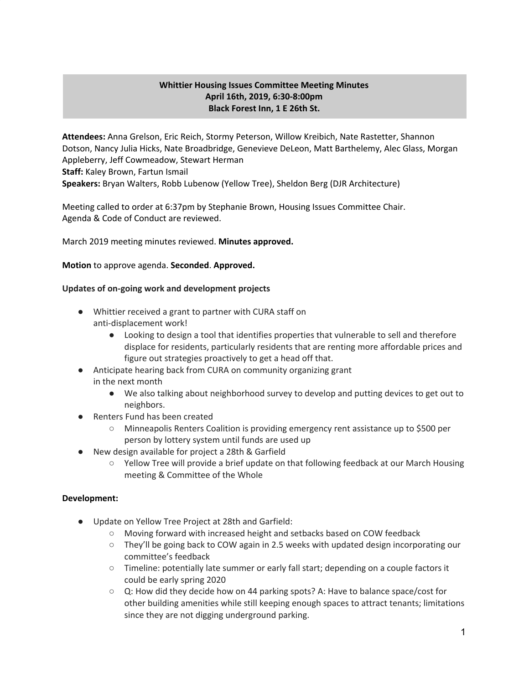# **Whittier Housing Issues Committee Meeting Minutes April 16th, 2019, 6:30-8:00pm Black Forest Inn, 1 E 26th St.**

**Attendees:** Anna Grelson, Eric Reich, Stormy Peterson, Willow Kreibich, Nate Rastetter, Shannon Dotson, Nancy Julia Hicks, Nate Broadbridge, Genevieve DeLeon, Matt Barthelemy, Alec Glass, Morgan Appleberry, Jeff Cowmeadow, Stewart Herman **Staff:** Kaley Brown, Fartun Ismail **Speakers:** Bryan Walters, Robb Lubenow (Yellow Tree), Sheldon Berg (DJR Architecture)

Meeting called to order at 6:37pm by Stephanie Brown, Housing Issues Committee Chair. Agenda & Code of Conduct are reviewed.

March 2019 meeting minutes reviewed. **Minutes approved.**

## **Motion** to approve agenda. **Seconded**. **Approved.**

## **Updates of on-going work and development projects**

- Whittier received a grant to partner with CURA staff on anti-displacement work!
	- Looking to design a tool that identifies properties that vulnerable to sell and therefore displace for residents, particularly residents that are renting more affordable prices and figure out strategies proactively to get a head off that.
- Anticipate hearing back from CURA on community organizing grant in the next month
	- We also talking about neighborhood survey to develop and putting devices to get out to neighbors.
- **Renters Fund has been created** 
	- Minneapolis Renters Coalition is providing emergency rent assistance up to \$500 per person by lottery system until funds are used up
- New design available for project a 28th & Garfield
	- Yellow Tree will provide a brief update on that following feedback at our March Housing meeting & Committee of the Whole

## **Development:**

- Update on Yellow Tree Project at 28th and Garfield:
	- Moving forward with increased height and setbacks based on COW feedback
	- They'll be going back to COW again in 2.5 weeks with updated design incorporating our committee's feedback
	- Timeline: potentially late summer or early fall start; depending on a couple factors it could be early spring 2020
	- Q: How did they decide how on 44 parking spots? A: Have to balance space/cost for other building amenities while still keeping enough spaces to attract tenants; limitations since they are not digging underground parking.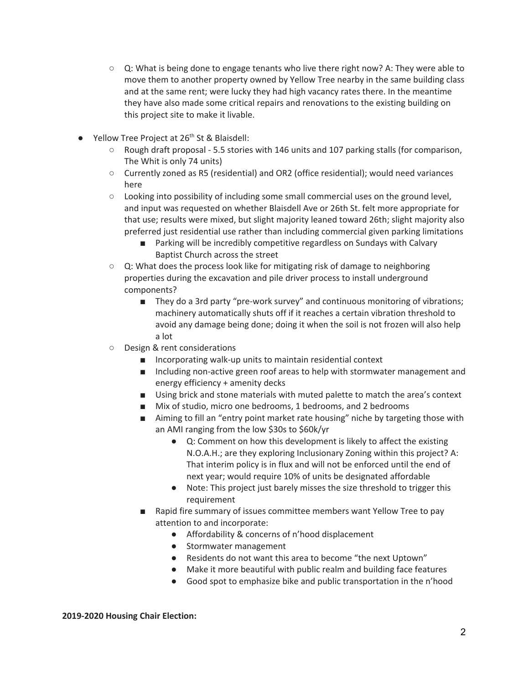- $\circ$  Q: What is being done to engage tenants who live there right now? A: They were able to move them to another property owned by Yellow Tree nearby in the same building class and at the same rent; were lucky they had high vacancy rates there. In the meantime they have also made some critical repairs and renovations to the existing building on this project site to make it livable.
- Yellow Tree Project at 26<sup>th</sup> St & Blaisdell:
	- Rough draft proposal 5.5 stories with 146 units and 107 parking stalls (for comparison, The Whit is only 74 units)
	- Currently zoned as R5 (residential) and OR2 (office residential); would need variances here
	- $\circ$  Looking into possibility of including some small commercial uses on the ground level, and input was requested on whether Blaisdell Ave or 26th St. felt more appropriate for that use; results were mixed, but slight majority leaned toward 26th; slight majority also preferred just residential use rather than including commercial given parking limitations
		- Parking will be incredibly competitive regardless on Sundays with Calvary Baptist Church across the street
	- Q: What does the process look like for mitigating risk of damage to neighboring properties during the excavation and pile driver process to install underground components?
		- They do a 3rd party "pre-work survey" and continuous monitoring of vibrations; machinery automatically shuts off if it reaches a certain vibration threshold to avoid any damage being done; doing it when the soil is not frozen will also help a lot
	- Design & rent considerations
		- Incorporating walk-up units to maintain residential context
		- Including non-active green roof areas to help with stormwater management and energy efficiency + amenity decks
		- Using brick and stone materials with muted palette to match the area's context
		- Mix of studio, micro one bedrooms, 1 bedrooms, and 2 bedrooms
		- Aiming to fill an "entry point market rate housing" niche by targeting those with an AMI ranging from the low \$30s to \$60k/yr
			- Q: Comment on how this development is likely to affect the existing N.O.A.H.; are they exploring Inclusionary Zoning within this project? A: That interim policy is in flux and will not be enforced until the end of next year; would require 10% of units be designated affordable
			- Note: This project just barely misses the size threshold to trigger this requirement
		- Rapid fire summary of issues committee members want Yellow Tree to pay attention to and incorporate:
			- Affordability & concerns of n'hood displacement
			- Stormwater management
			- Residents do not want this area to become "the next Uptown"
			- Make it more beautiful with public realm and building face features
			- Good spot to emphasize bike and public transportation in the n'hood